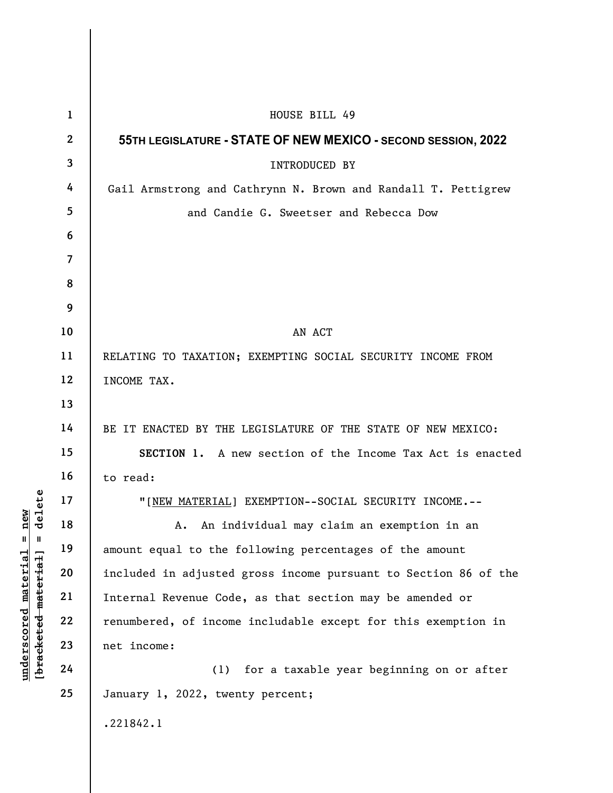|                       | $\mathbf{1}$   | HOUSE BILL 49                                                   |
|-----------------------|----------------|-----------------------------------------------------------------|
|                       | $\mathbf{2}$   | 55TH LEGISLATURE - STATE OF NEW MEXICO - SECOND SESSION, 2022   |
|                       | $\mathbf{3}$   | INTRODUCED BY                                                   |
|                       | 4              | Gail Armstrong and Cathrynn N. Brown and Randall T. Pettigrew   |
|                       | 5              | and Candie G. Sweetser and Rebecca Dow                          |
|                       | 6              |                                                                 |
|                       | $\overline{7}$ |                                                                 |
|                       | 8              |                                                                 |
|                       | 9              |                                                                 |
|                       | 10             | AN ACT                                                          |
|                       | 11             | RELATING TO TAXATION; EXEMPTING SOCIAL SECURITY INCOME FROM     |
|                       | 12             | INCOME TAX.                                                     |
|                       | 13             |                                                                 |
|                       | 14             | BE IT ENACTED BY THE LEGISLATURE OF THE STATE OF NEW MEXICO:    |
| delete<br>new<br>$\ $ | 15             | SECTION 1. A new section of the Income Tax Act is enacted       |
|                       | 16             | to read:                                                        |
|                       | 17             | "[NEW MATERIAL] EXEMPTION--SOCIAL SECURITY INCOME.--            |
|                       | 18             | An individual may claim an exemption in an<br>А.                |
| $\mathbb{I}$          | 19             | amount equal to the following percentages of the amount         |
| underscored material  | 20             | included in adjusted gross income pursuant to Section 86 of the |
|                       | 21             | Internal Revenue Code, as that section may be amended or        |
|                       | 22             | renumbered, of income includable except for this exemption in   |
| [bracketed-material]  | 23             | net income:                                                     |
|                       | 24             | for a taxable year beginning on or after<br>(1)                 |
|                       | 25             | January 1, 2022, twenty percent;                                |
|                       |                | .221842.1                                                       |
|                       |                |                                                                 |